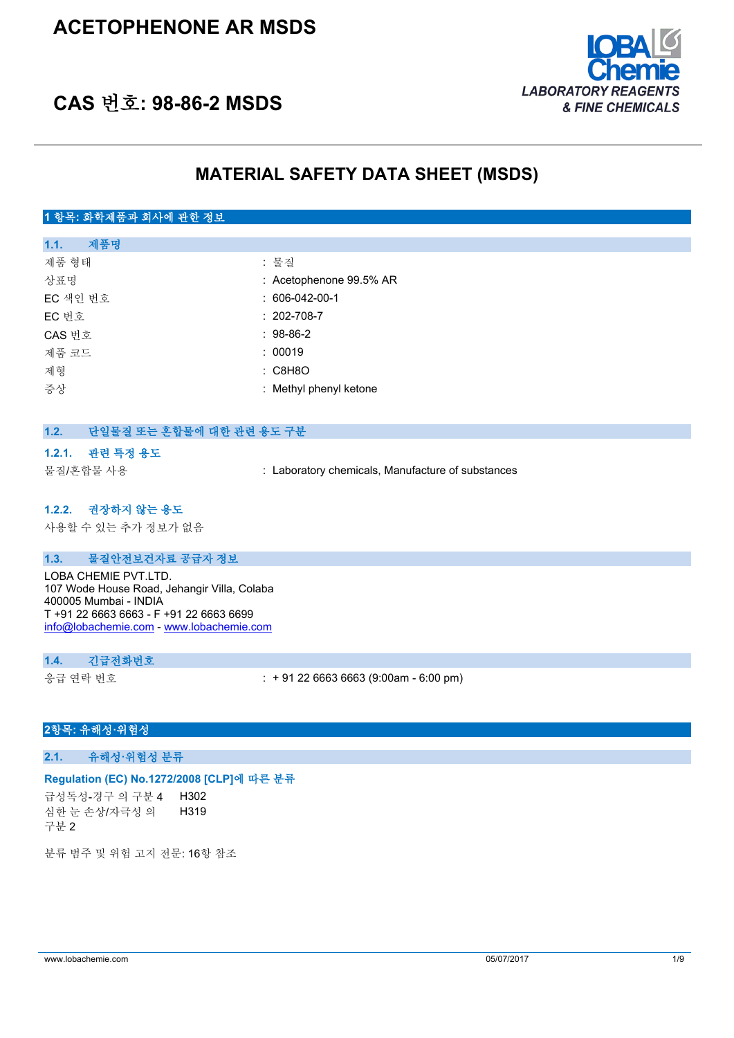# **ACETOPHENONE AR MSDS**



# **CAS 번호: 98-86-2 MSDS**

# **MATERIAL SAFETY DATA SHEET (MSDS)**

## **1 항목: 화학제품과 회사에 관한 정보**

| 제품명<br>1.1. |                           |
|-------------|---------------------------|
| 제품 형태       | : 물질                      |
| 상표명         | $:$ Acetophenone 99.5% AR |
| EC 색인 번호    | $: 606-042-00-1$          |
| EC 번호       | $: 202 - 708 - 7$         |
| CAS 번호      | $: 98-86-2$               |
| 제품 코드       | : 00019                   |
| 제형          | : C8H8O                   |
| 증상          | : Methyl phenyl ketone    |
|             |                           |

### **1.2. 단일물질 또는 혼합물에 대한 관련 용도 구분**

#### **1.2.1. 관련 특정 용도**

물질/혼합물 사용 : Laboratory chemicals, Manufacture of substances

### **1.2.2. 권장하지 않는 용도**

사용할 수 있는 추가 정보가 없음

#### **1.3. 물질안전보건자료 공급자 정보**

LOBA CHEMIE PVT.LTD. 107 Wode House Road, Jehangir Villa, Colaba 400005 Mumbai - INDIA T +91 22 6663 6663 - F +91 22 6663 6699 [info@lobachemie.com](mailto:info@lobachemie.com) - <www.lobachemie.com>

#### **1.4. 긴급전화번호**

응급 연락 번호 : + 91 22 6663 6663 (9:00am - 6:00 pm)

#### **2항목: 유해성·위험성**

**2.1. 유해성·위험성 분류**

#### **Regulation (EC) No.1272/2008 [CLP]에 따른 분류**

급성독성-경구 의 구분 4 H302 심한 눈 손상/자극성 의 구분 2 H319

분류 범주 및 위험 고지 전문: 16항 참조

www.lobachemie.com 05/07/2017 1/9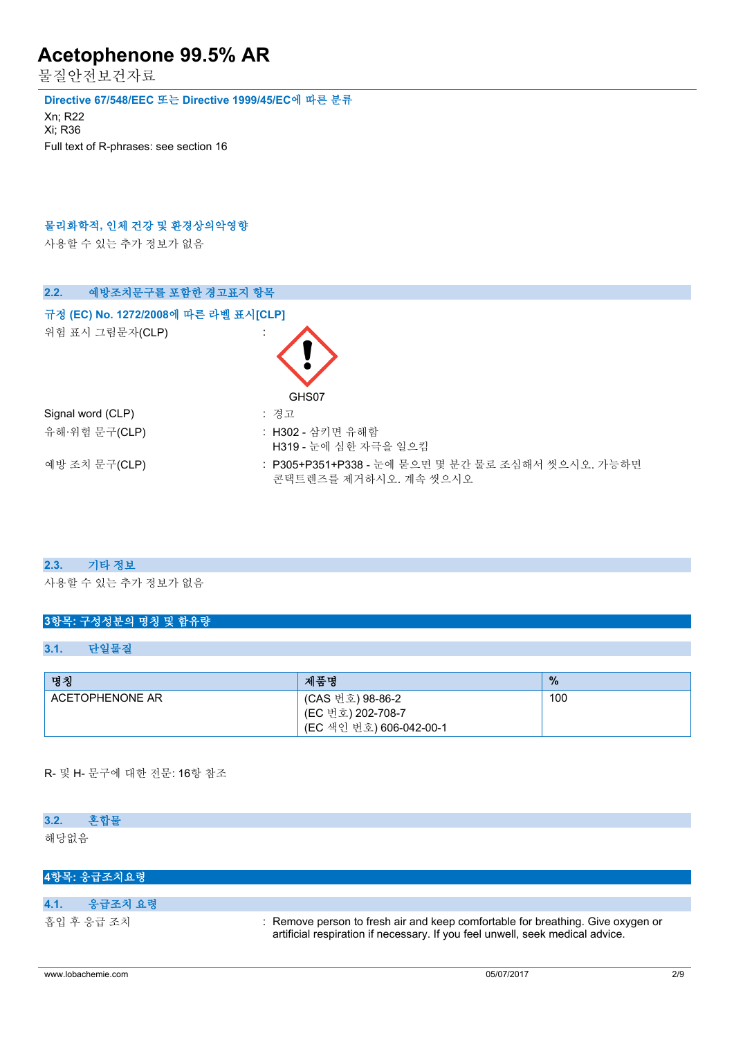물질안전보건자료

#### **Directive 67/548/EEC 또는 Directive 1999/45/EC에 따른 분류**

Xn; R22 Xi; R36 Full text of R-phrases: see section 16

### **물리화학적, 인체 건강 및 환경상의악영향**

사용할 수 있는 추가 정보가 없음

| 예방조치문구를 포함한 경고표지 항목<br>2.2.          |                                                                            |
|--------------------------------------|----------------------------------------------------------------------------|
| 규정 (EC) No. 1272/2008에 따른 라벨 표시[CLP] |                                                                            |
| 위험 표시 그림문자(CLP)                      | GHS07                                                                      |
| Signal word (CLP)                    | : 경고                                                                       |
| 유해·위험 문구(CLP)                        | : H302 - 삼키면 유해함<br>H319 - 눈에 심한 자극을 일으킴                                   |
| 예방 조치 문구(CLP)                        | : P305+P351+P338 - 눈에 묻으면 몇 분간 물로 조심해서 씻으시오. 가능하면<br>콘택트렌즈를 제거하시오. 계속 씻으시오 |

#### **2.3. 기타 정보**

사용할 수 있는 추가 정보가 없음

## **3항목: 구성성분의 명칭 및 함유량**

#### **3.1. 단일물질**

| 명칭              | 제품명                                                              | $\%$ |
|-----------------|------------------------------------------------------------------|------|
| ACETOPHENONE AR | (CAS 번호) 98-86-2<br>(EC 번호) 202-708-7<br>(EC 색인 번호) 606-042-00-1 | 100  |

#### R- 및 H- 문구에 대한 전문: 16항 참조

| 3.2. | 혼합물         |  |  |  |  |
|------|-------------|--|--|--|--|
| 해당없음 |             |  |  |  |  |
|      |             |  |  |  |  |
|      | 4항목: 응급조치요령 |  |  |  |  |

| 4.1.<br>응급조치 요령 |                                                                                                                                                                  |
|-----------------|------------------------------------------------------------------------------------------------------------------------------------------------------------------|
| 흡입 후 응급 조치      | : Remove person to fresh air and keep comfortable for breathing. Give oxygen or<br>artificial respiration if necessary. If you feel unwell, seek medical advice. |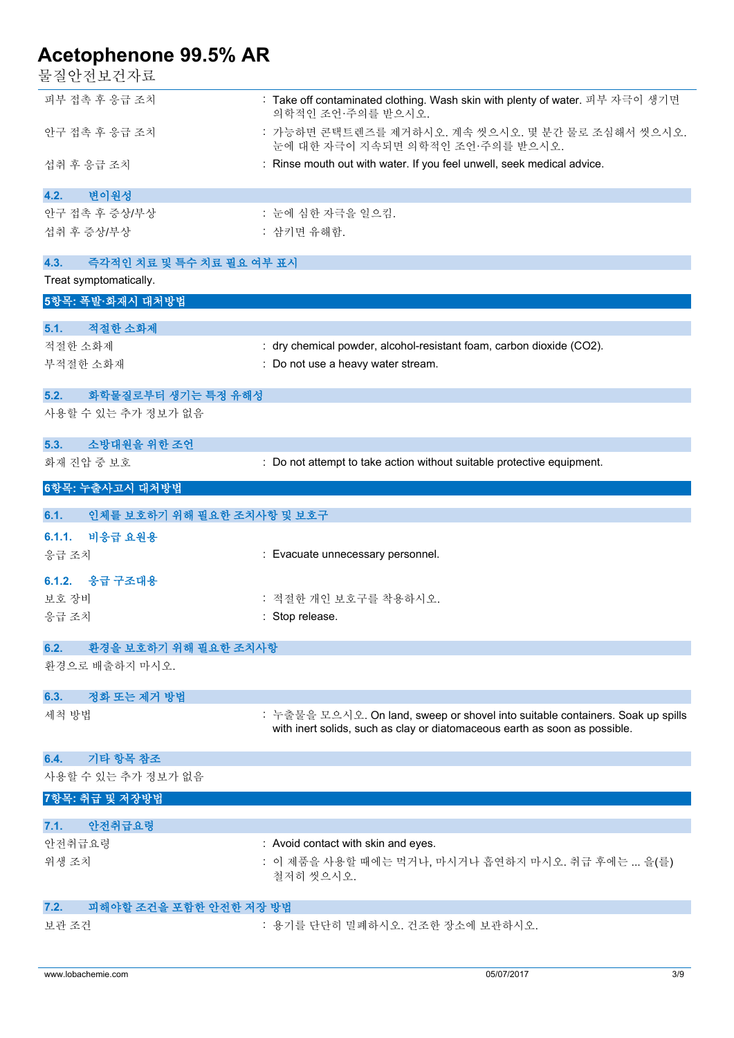물질안전보건자료

| 피부 접촉 후 응급 조치                      | : Take off contaminated clothing. Wash skin with plenty of water. 피부 자극이 생기면<br>의학적인 조언·주의를 받으시오. |
|------------------------------------|---------------------------------------------------------------------------------------------------|
| 안구 접촉 후 응급 조치                      | : 가능하면 콘택트렌즈를 제거하시오. 계속 씻으시오. 몇 분간 물로 조심해서 씻으시오.<br>눈에 대한 자극이 지속되면 의학적인 조언·주의를 받으시오.              |
| 섭취 후 응급 조치                         | : Rinse mouth out with water. If you feel unwell, seek medical advice.                            |
| 변이원성<br>4.2.                       |                                                                                                   |
| 안구 접촉 후 증상/부상                      | : 눈에 심한 자극을 일으킴.                                                                                  |
| 섭취 후 증상/부상                         | : 삼키면 유해함.                                                                                        |
|                                    |                                                                                                   |
| 즉각적인 치료 및 특수 치료 필요 여부 표시<br>4.3.   |                                                                                                   |
| Treat symptomatically.             |                                                                                                   |
| 5항목: 폭발·화재시 대처방법                   |                                                                                                   |
| 적절한 소화제<br>5.1.                    |                                                                                                   |
| 적절한 소화제                            | : dry chemical powder, alcohol-resistant foam, carbon dioxide (CO2).                              |
| 부적절한 소화재                           | : Do not use a heavy water stream.                                                                |
|                                    |                                                                                                   |
| 5.2.<br>화학물질로부터 생기는 특정 유해성         |                                                                                                   |
| 사용할 수 있는 추가 정보가 없음                 |                                                                                                   |
|                                    |                                                                                                   |
| 소방대원을 위한 조언<br>5.3.                |                                                                                                   |
| 화재 진압 중 보호                         | : Do not attempt to take action without suitable protective equipment.                            |
| 6항목: 누출사고시 대처방법                    |                                                                                                   |
| 인체를 보호하기 위해 필요한 조치사항 및 보호구<br>6.1. |                                                                                                   |
| 비응급 요원용<br>6.1.1.                  |                                                                                                   |
|                                    |                                                                                                   |
|                                    |                                                                                                   |
| 응급 조치                              | : Evacuate unnecessary personnel.                                                                 |
| 6.1.2. 응급 구조대용                     |                                                                                                   |
| 보호 장비                              | : 적절한 개인 보호구를 착용하시오.                                                                              |
| 응급 조치                              | : Stop release.                                                                                   |
|                                    |                                                                                                   |
| 환경을 보호하기 위해 필요한 조치사항<br>6.2.       |                                                                                                   |
| 환경으로 배출하지 마시오.                     |                                                                                                   |
|                                    |                                                                                                   |
| 정화 또는 제거 방법<br>6.3.                |                                                                                                   |
| 세척 방법                              | : 누출물을 모으시오. On land, sweep or shovel into suitable containers. Soak up spills                    |
|                                    | with inert solids, such as clay or diatomaceous earth as soon as possible.                        |
| 기타 항목 참조<br>6.4.                   |                                                                                                   |
| 사용할 수 있는 추가 정보가 없음                 |                                                                                                   |
|                                    |                                                                                                   |
| 7항목: 취급 및 저장방법                     |                                                                                                   |
| 7.1.<br>안전취급요령                     |                                                                                                   |
| 안전취급요령                             | : Avoid contact with skin and eyes.                                                               |
| 위생 조치                              | : 이 제품을 사용할 때에는 먹거나, 마시거나 흡연하지 마시오. 취급 후에는  을(를)<br>철저히 씻으시오.                                     |
|                                    |                                                                                                   |
| 피해야할 조건을 포함한 안전한 저장 방법<br>7.2.     |                                                                                                   |
| 보관 조건                              | : 용기를 단단히 밀폐하시오. 건조한 장소에 보관하시오.                                                                   |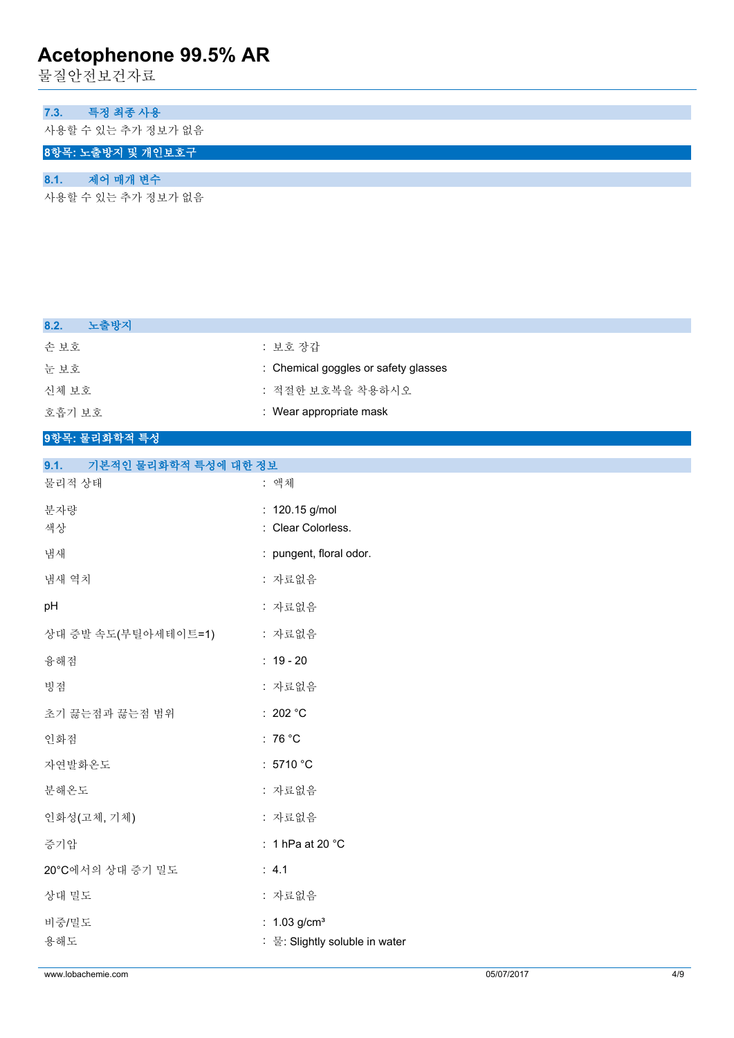물질안전보건자료

### **7.3. 특정 최종 사용**

사용할 수 있는 추가 정보가 없음

# **8항목: 노출방지 및 개인보호구**

## **8.1. 제어 매개 변수**

사용할 수 있는 추가 정보가 없음

| 노출방지<br>8.2.                 |                                      |
|------------------------------|--------------------------------------|
| 손보호                          | : 보호 장갑                              |
| 눈보호                          | : Chemical goggles or safety glasses |
| 신체 보호                        | : 적절한 보호복을 착용하시오                     |
| 호흡기 보호                       | : Wear appropriate mask              |
| 9항목: 물리화학적 특성                |                                      |
| 9.1.<br>기본적인 물리화학적 특성에 대한 정보 |                                      |
| 물리적 상태                       | : 액체                                 |
| 분자량                          | : 120.15 g/mol                       |
| 색상                           | : Clear Colorless.                   |
| 냄새                           | : pungent, floral odor.              |
| 냄새 역치                        | : 자료없음                               |
| pH                           | : 자료없음                               |
| 상대 증발 속도(부틸아세테이트=1)          | : 자료없음                               |
| 융해점                          | $: 19 - 20$                          |
| 빙점                           | : 자료없음                               |
| 초기 끓는점과 끓는점 범위               | : 202 $^{\circ}$ C                   |
| 인화점                          | : 76 $^{\circ}$ C                    |
| 자연발화온도                       | : 5710 $^{\circ}$ C                  |
| 분해온도                         | : 자료없음                               |
| 인화성(고체, 기체)                  | : 자료없음                               |
| 증기압                          | : 1 hPa at 20 $^{\circ}$ C           |
| 20°C에서의 상대 증기 밀도             | : 4.1                                |
| 상대 밀도                        | : 자료없음                               |
| 비중/밀도                        | : $1.03$ g/cm <sup>3</sup>           |
| 용해도                          | : 물: Slightly soluble in water       |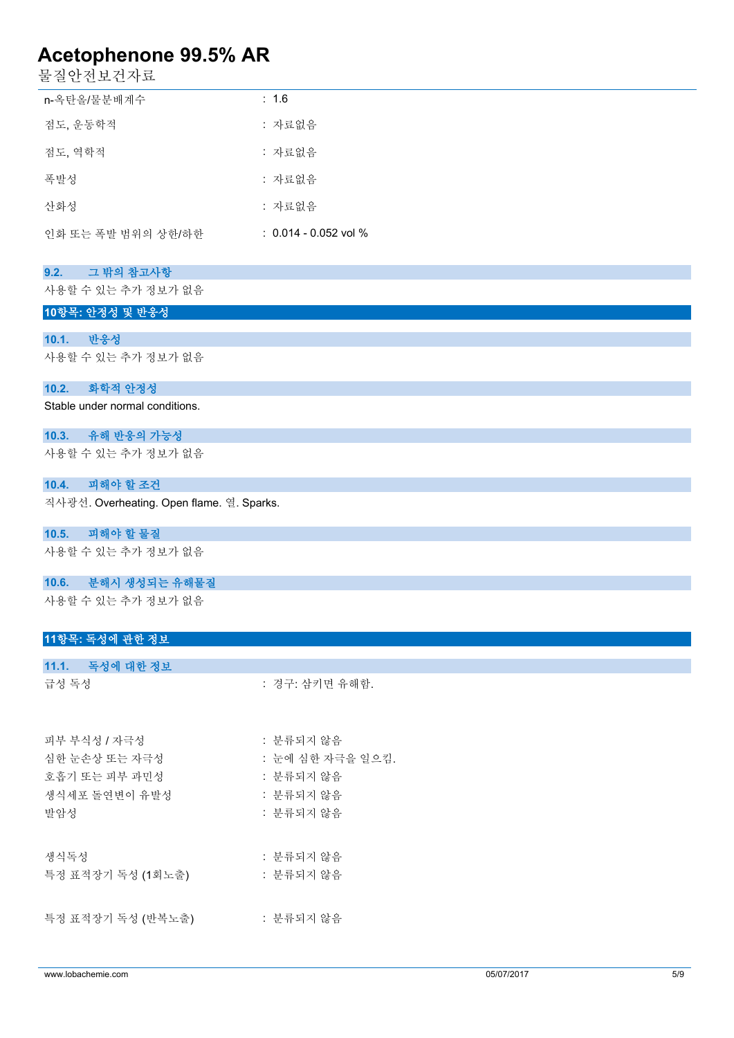물질안전보건자료

| n-옥탄올/물분배계수        | : 1.6                   |
|--------------------|-------------------------|
| 점도, 운동학적           | : 자료없음                  |
| 점도, 역학적            | : 자료없음                  |
| 폭발성                | : 자료없음                  |
| 산화성                | : 자료없음                  |
| 인화 또는 폭발 범위의 상한/하한 | $: 0.014 - 0.052$ vol % |

### **9.2. 그 밖의 참고사항**

사용할 수 있는 추가 정보가 없음

### **10항목: 안정성 및 반응성**

**10.1. 반응성** 사용할 수 있는 추가 정보가 없음

#### **10.2. 화학적 안정성**

Stable under normal conditions.

## **10.3. 유해 반응의 가능성**

사용할 수 있는 추가 정보가 없음

#### **10.4. 피해야 할 조건**

직사광선. Overheating. Open flame. 열. Sparks.

#### **10.5. 피해야 할 물질**

사용할 수 있는 추가 정보가 없음

#### **10.6. 분해시 생성되는 유해물질**

사용할 수 있는 추가 정보가 없음

### **11항목: 독성에 관한 정보**

| 11.1. 독성에 대한 정보   |                  |
|-------------------|------------------|
| 급성 독성             | : 경구: 삼키면 유해함.   |
|                   |                  |
| 피부 부식성 / 자극성      | : 분류되지 않음        |
| 심한 눈손상 또는 자극성     | : 눈에 심한 자극을 일으킴. |
| 호흡기 또는 피부 과민성     | : 분류되지 않음        |
| 생식세포 돌연변이 유발성     | : 분류되지 않음        |
| 발암성               | : 분류되지 않음        |
|                   |                  |
| 생식독성              | : 분류되지 않음        |
| 특정 표적장기 독성 (1회노출) | : 분류되지 않음        |

특정 표적장기 독성 (반복노출) : 분류되지 않음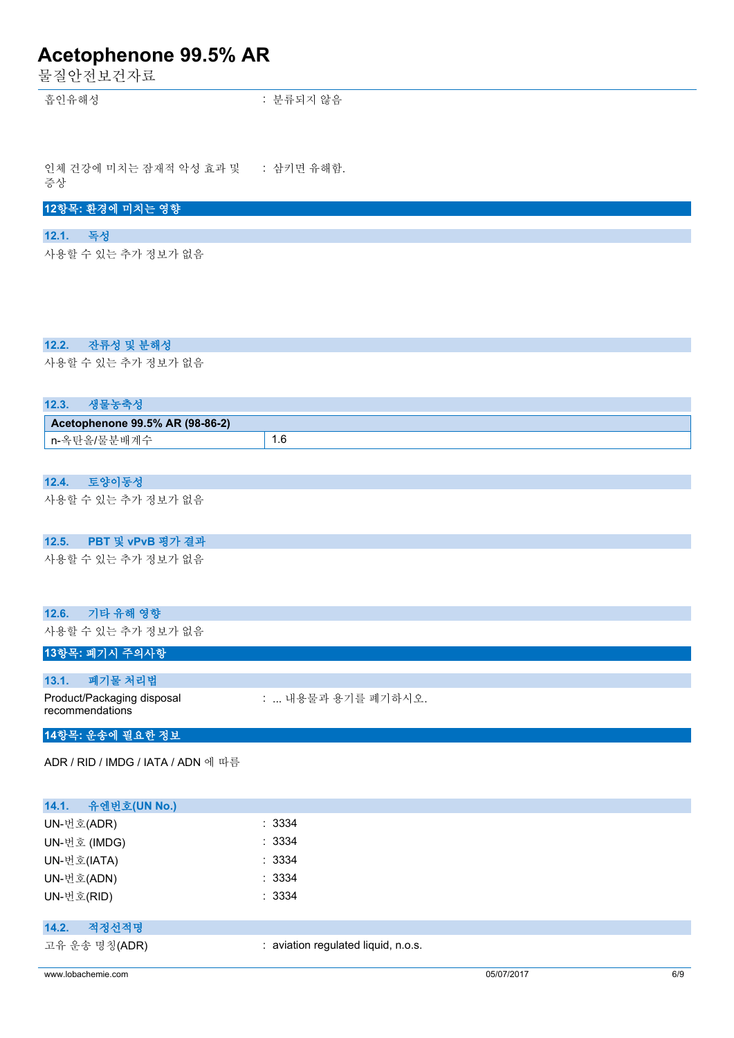물질안전보건자료

흡인유해성 : 분류되지 않음

인체 건강에 미치는 잠재적 악성 효과 및 증상 : 삼키면 유해함.

## **12항목: 환경에 미치는 영향**

#### **12.1. 독성**

사용할 수 있는 추가 정보가 없음

### **12.2. 잔류성 및 분해성**

사용할 수 있는 추가 정보가 없음

| 12.3. | 새포노추서                           |     |
|-------|---------------------------------|-----|
|       | Acetophenone 99.5% AR (98-86-2) |     |
|       | n-옥탄올/물분배계수                     | 1.6 |

#### **12.4. 토양이동성**

사용할 수 있는 추가 정보가 없음

## **12.5. PBT 및 vPvB 평가 결과**

사용할 수 있는 추가 정보가 없음

#### **12.6. 기타 유해 영향**

사용할 수 있는 추가 정보가 없음

### **13항목: 폐기시 주의사항**

| 13.1. | 폐기물 처리법                                       |                    |
|-------|-----------------------------------------------|--------------------|
|       | Product/Packaging disposal<br>recommendations | :  내용물과 용기를 폐기하시오. |

### **14항목: 운송에 필요한 정보**

ADR / RID / IMDG / IATA / ADN 에 따름

| 유엔번호(UN No.)<br>14.1. |                                     |
|-----------------------|-------------------------------------|
| UN-번호(ADR)            | : 3334                              |
| UN-번호 (IMDG)          | : 3334                              |
| UN-번호(IATA)           | : 3334                              |
| UN-번호(ADN)            | : 3334                              |
| UN-번호(RID)            | : 3334                              |
|                       |                                     |
| 적정선적명<br>14.2.        |                                     |
| 고유 운송 명칭(ADR)         | : aviation regulated liquid, n.o.s. |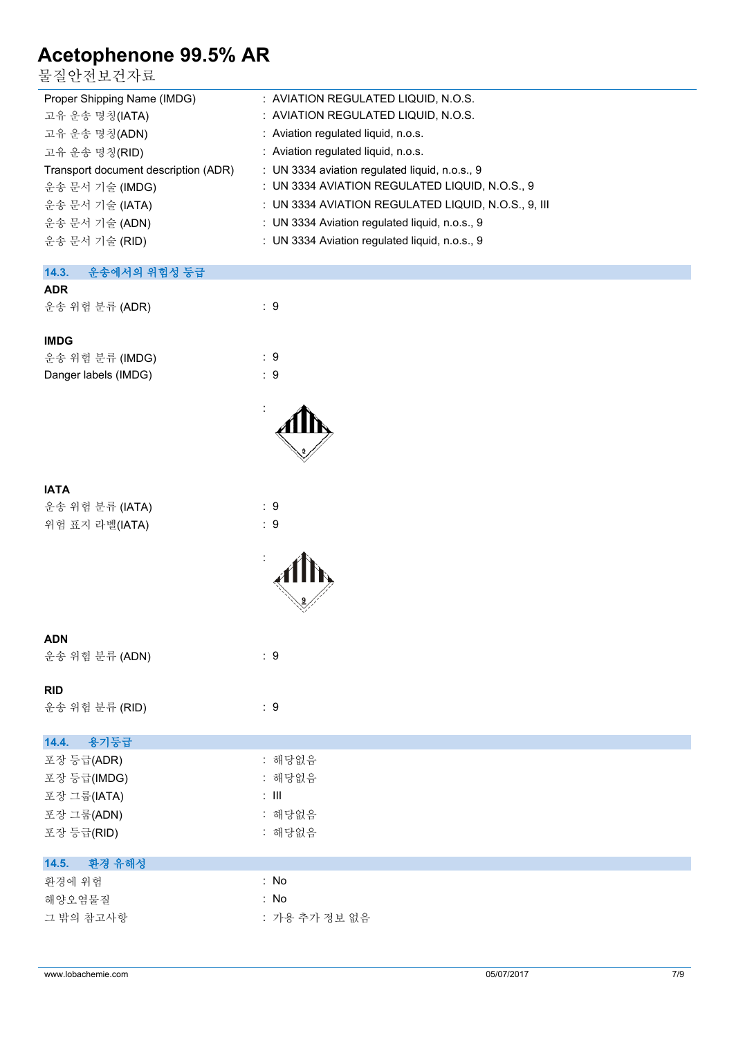물질안전보건자료

| ㄹ ㄹ ㄴ ㄴ ㅗ ㄴ ′ ') ㅛ                   |                                                     |
|--------------------------------------|-----------------------------------------------------|
| Proper Shipping Name (IMDG)          | : AVIATION REGULATED LIQUID, N.O.S.                 |
| 고유 운송 명칭(IATA)                       | : AVIATION REGULATED LIQUID, N.O.S.                 |
| 고유 운송 명칭(ADN)                        | : Aviation regulated liquid, n.o.s.                 |
| 고유 운송 명칭(RID)                        | : Aviation regulated liquid, n.o.s.                 |
| Transport document description (ADR) | : UN 3334 aviation regulated liquid, n.o.s., 9      |
| 운송 문서 기술 (IMDG)                      | : UN 3334 AVIATION REGULATED LIQUID, N.O.S., 9      |
| 운송 문서 기술 (IATA)                      | : UN 3334 AVIATION REGULATED LIQUID, N.O.S., 9, III |
| 운송 문서 기술 (ADN)                       | : UN 3334 Aviation regulated liquid, n.o.s., 9      |
| 운송 문서 기술 (RID)                       | : UN 3334 Aviation regulated liquid, n.o.s., 9      |
| 운송에서의 위험성 등급<br>14.3.                |                                                     |
| <b>ADR</b>                           |                                                     |
| 운송 위험 분류 (ADR)                       | $\therefore$ 9                                      |
| <b>IMDG</b>                          |                                                     |
| 운송 위험 분류 (IMDG)                      | :9                                                  |
| Danger labels (IMDG)                 | $\therefore$ 9                                      |
|                                      |                                                     |
|                                      |                                                     |
|                                      |                                                     |
|                                      |                                                     |
| <b>IATA</b>                          |                                                     |
| 운송 위험 분류 (IATA)                      | $\therefore$ 9                                      |
| 위험 표지 라벨(IATA)                       | $\therefore$ 9                                      |
|                                      |                                                     |
|                                      |                                                     |
|                                      |                                                     |
| <b>ADN</b>                           |                                                     |
| 운송 위험 분류 (ADN)                       | $\therefore$ 9                                      |
|                                      |                                                     |
| <b>RID</b>                           |                                                     |
| 운송 위험 분류 (RID)                       | $\therefore$ 9                                      |
| 14.4.<br>용기둥급                        |                                                     |
| 포장 등급(ADR)                           | : 해당없음                                              |
| 포장 등급(IMDG)                          | : 해당없음                                              |
| 포장 그룹(IATA)                          | $:$ $\mathbb H$                                     |
| 포장 그룹(ADN)                           | : 해당없음                                              |
| 포장 등급(RID)                           | : 해당없음                                              |
| 환경 유해성<br>14.5.                      |                                                     |
| 환경에 위험                               | : No                                                |
| 해양오염물질                               | : No                                                |
| 그 밖의 참고사항                            | : 가용 추가 정보 없음                                       |
|                                      |                                                     |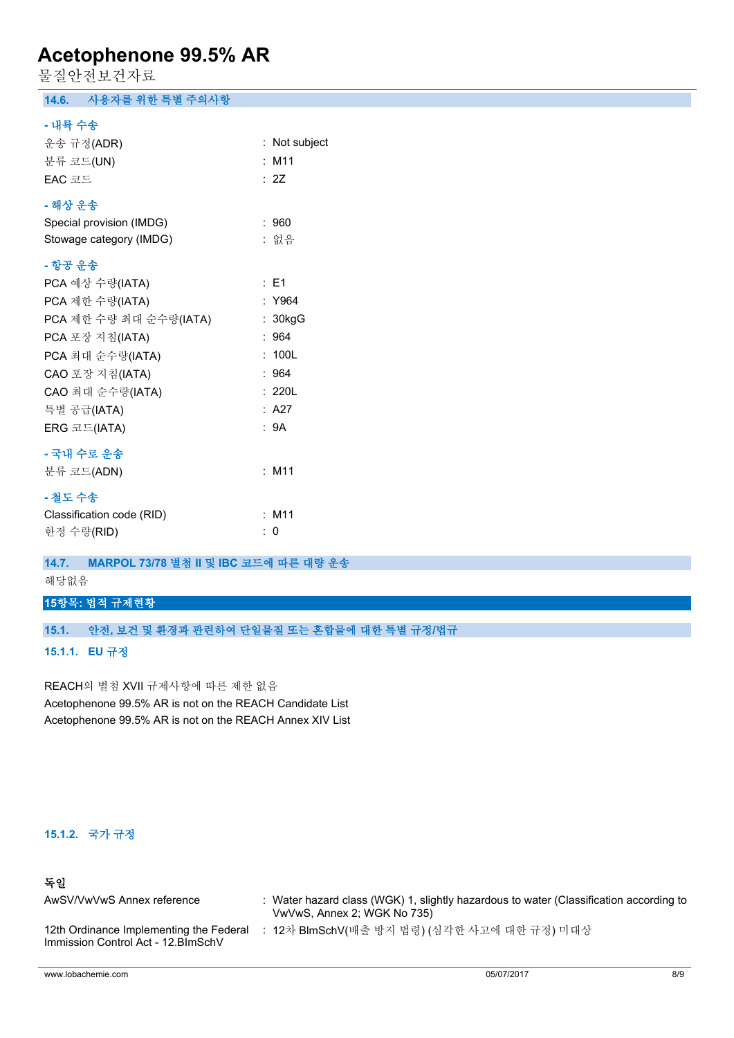물질안전보건자료

## **14.6. 사용자를 위한 특별 주의사항**

#### **- 내륙 수송**

| 운송 규정(ADR)                |    | : Not subject   |
|---------------------------|----|-----------------|
| 분류 코드(UN)                 |    | $:$ M11         |
| EAC 코드                    |    | : 2Z            |
| - 해상 운송                   |    |                 |
| Special provision (IMDG)  |    | :960            |
| Stowage category (IMDG)   |    | : 없음            |
| - 항공 운송                   |    |                 |
| PCA 예상 수량(IATA)           |    | $\therefore$ E1 |
| PCA 제한 수량(IATA)           |    | : Y964          |
| PCA 제한 수량 최대 순수량(IATA)    |    | : 30kgG         |
| PCA 포장 지침(IATA)           |    | :964            |
| PCA 최대 순수량(IATA)          |    | : 100L          |
| CAO 포장 지침(IATA)           |    | :964            |
| CAO 최대 순수량(IATA)          |    | : 220L          |
| 특별 공급(IATA)               |    | : A27           |
| ERG 코드(IATA)              |    | : 9A            |
| - 국내 수로 운송                |    |                 |
| 분류 코드(ADN)                |    | $:$ M11         |
| - 철도 수송                   |    |                 |
| Classification code (RID) |    | $:$ M11         |
| 한정 수량(RID)                | ÷. | 0               |

## **14.7. MARPOL 73/78 별첨 II 및 IBC 코드에 따른 대량 운송**

해당없음

## **15항목: 법적 규제현황**

### **15.1. 안전, 보건 및 환경과 관련하여 단일물질 또는 혼합물에 대한 특별 규정/법규**

**15.1.1. EU 규정**

REACH의 별첨 XVII 규제사항에 따른 제한 없음 Acetophenone 99.5% AR is not on the REACH Candidate List Acetophenone 99.5% AR is not on the REACH Annex XIV List

#### **15.1.2. 국가 규정**

## **독일**

| AwSV/VwVwS Annex reference                                                     | Water hazard class (WGK) 1, slightly hazardous to water (Classification according to<br>VwVwS, Annex 2; WGK No 735) |
|--------------------------------------------------------------------------------|---------------------------------------------------------------------------------------------------------------------|
| 12th Ordinance Implementing the Federal<br>Immission Control Act - 12. BlmSchV | 12차 BlmSchV(배출 방지 법령) (심각한 사고에 대한 규정) 미대상                                                                           |